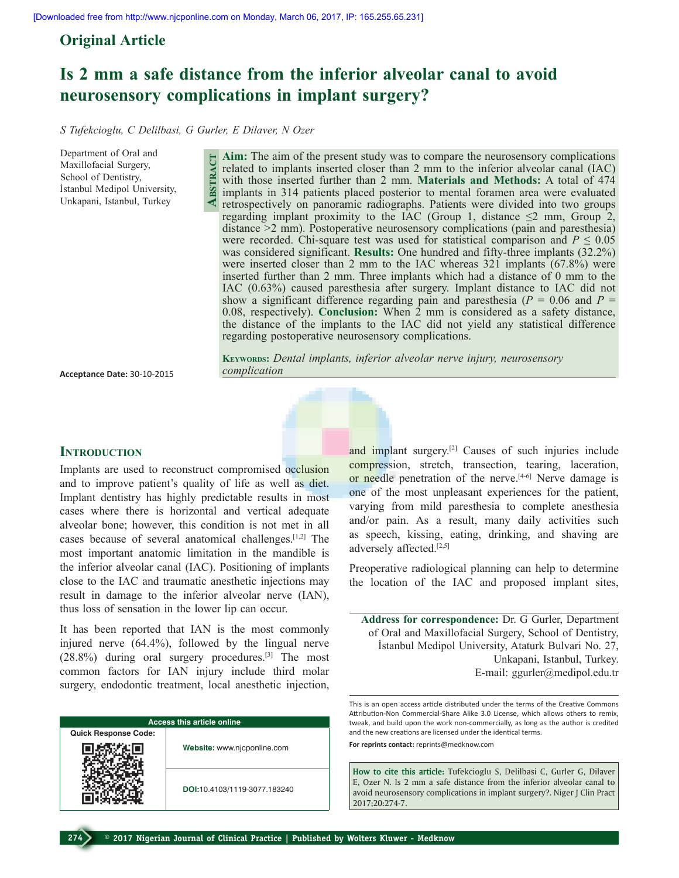# **Original Article**

# **Is 2 mm a safe distance from the inferior alveolar canal to avoid neurosensory complications in implant surgery?**

*S Tufekcioglu, C Delilbasi, G Gurler, E Dilaver, N Ozer*

**Abstract**

Department of Oral and Maxillofacial Surgery, School of Dentistry, İstanbul Medipol University, Unkapani, Istanbul, Turkey

**Aim:** The aim of the present study was to compare the neurosensory complications related to implants inserted closer than 2 mm to the inferior alveolar canal (IAC) with those inserted further than 2 mm. **Materials and Methods:** A total of 474 implants in 314 patients placed posterior to mental foramen area were evaluated retrospectively on panoramic radiographs. Patients were divided into two groups regarding implant proximity to the IAC (Group 1, distance  $\leq$ 2 mm, Group 2, distance >2 mm). Postoperative neurosensory complications (pain and paresthesia) were recorded. Chi-square test was used for statistical comparison and  $P \leq 0.05$ was considered significant. **Results:** One hundred and fifty-three implants (32.2%) were inserted closer than 2 mm to the IAC whereas 321 implants (67.8%) were inserted further than 2 mm. Three implants which had a distance of 0 mm to the IAC (0.63%) caused paresthesia after surgery. Implant distance to IAC did not show a significant difference regarding pain and paresthesia ( $P = 0.06$  and  $P =$ 0.08, respectively). **Conclusion:** When 2 mm is considered as a safety distance, the distance of the implants to the IAC did not yield any statistical difference regarding postoperative neurosensory complications.

**Acceptance Date:** 30-10-2015

**Keywords:** *Dental implants, inferior alveolar nerve injury, neurosensory complication*



# **INTRODUCTION**

Implants are used to reconstruct compromised occlusion and to improve patient's quality of life as well as diet. Implant dentistry has highly predictable results in most cases where there is horizontal and vertical adequate alveolar bone; however, this condition is not met in all cases because of several anatomical challenges.[1,2] The most important anatomic limitation in the mandible is the inferior alveolar canal (IAC). Positioning of implants close to the IAC and traumatic anesthetic injections may result in damage to the inferior alveolar nerve (IAN), thus loss of sensation in the lower lip can occur.

It has been reported that IAN is the most commonly injured nerve (64.4%), followed by the lingual nerve (28.8%) during oral surgery procedures.[3] The most common factors for IAN injury include third molar surgery, endodontic treatment, local anesthetic injection,

| <b>Access this article online</b> |                              |  |  |
|-----------------------------------|------------------------------|--|--|
| <b>Quick Response Code:</b>       |                              |  |  |
|                                   | Website: www.njcponline.com  |  |  |
|                                   | DOI:10.4103/1119-3077.183240 |  |  |

and implant surgery.[2] Causes of such injuries include compression, stretch, transection, tearing, laceration, or needle penetration of the nerve. $[4-6]$  Nerve damage is one of the most unpleasant experiences for the patient, varying from mild paresthesia to complete anesthesia and/or pain. As a result, many daily activities such as speech, kissing, eating, drinking, and shaving are adversely affected.[2,5]

Preoperative radiological planning can help to determine the location of the IAC and proposed implant sites,

**Address for correspondence:** Dr. G Gurler, Department of Oral and Maxillofacial Surgery, School of Dentistry, İstanbul Medipol University, Ataturk Bulvari No. 27, Unkapani, Istanbul, Turkey. E-mail: ggurler@medipol.edu.tr

This is an open access article distributed under the terms of the Creative Commons Attribution-Non Commercial-Share Alike 3.0 License, which allows others to remix, tweak, and build upon the work non-commercially, as long as the author is credited and the new creations are licensed under the identical terms.

**For reprints contact:** reprints@medknow.com

**How to cite this article:** Tufekcioglu S, Delilbasi C, Gurler G, Dilaver E, Ozer N. Is 2 mm a safe distance from the inferior alveolar canal to avoid neurosensory complications in implant surgery?. Niger J Clin Pract 2017;20:274-7.

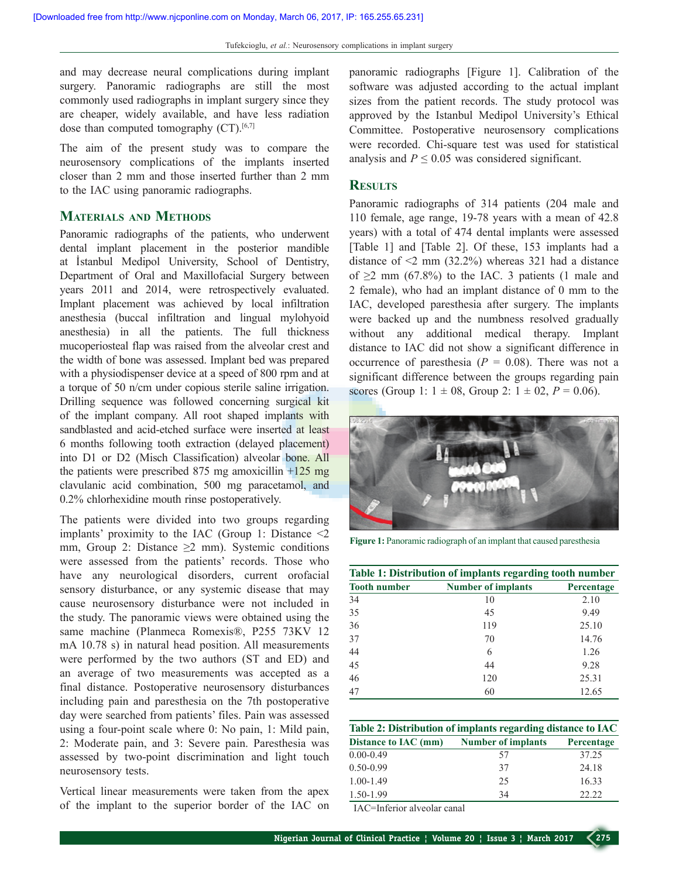and may decrease neural complications during implant surgery. Panoramic radiographs are still the most commonly used radiographs in implant surgery since they are cheaper, widely available, and have less radiation dose than computed tomography  $(CT)$ .<sup>[6,7]</sup>

The aim of the present study was to compare the neurosensory complications of the implants inserted closer than 2 mm and those inserted further than 2 mm to the IAC using panoramic radiographs.

#### **Materials and Methods**

Panoramic radiographs of the patients, who underwent dental implant placement in the posterior mandible at İstanbul Medipol University, School of Dentistry, Department of Oral and Maxillofacial Surgery between years 2011 and 2014, were retrospectively evaluated. Implant placement was achieved by local infiltration anesthesia (buccal infiltration and lingual mylohyoid anesthesia) in all the patients. The full thickness mucoperiosteal flap was raised from the alveolar crest and the width of bone was assessed. Implant bed was prepared with a physiodispenser device at a speed of 800 rpm and at a torque of 50 n/cm under copious sterile saline irrigation. Drilling sequence was followed concerning surgical kit of the implant company. All root shaped implants with sandblasted and acid-etched surface were inserted at least 6 months following tooth extraction (delayed placement) into D1 or D2 (Misch Classification) alveolar bone. All the patients were prescribed 875 mg amoxicillin  $+125$  mg clavulanic acid combination, 500 mg paracetamol, and 0.2% chlorhexidine mouth rinse postoperatively.

The patients were divided into two groups regarding implants' proximity to the IAC (Group 1: Distance <2 mm, Group 2: Distance  $\geq 2$  mm). Systemic conditions were assessed from the patients' records. Those who have any neurological disorders, current orofacial sensory disturbance, or any systemic disease that may cause neurosensory disturbance were not included in the study. The panoramic views were obtained using the same machine (Planmeca Romexis®, P255 73KV 12 mA 10.78 s) in natural head position. All measurements were performed by the two authors (ST and ED) and an average of two measurements was accepted as a final distance. Postoperative neurosensory disturbances including pain and paresthesia on the 7th postoperative day were searched from patients' files. Pain was assessed using a four-point scale where 0: No pain, 1: Mild pain, 2: Moderate pain, and 3: Severe pain. Paresthesia was assessed by two-point discrimination and light touch neurosensory tests.

Vertical linear measurements were taken from the apex of the implant to the superior border of the IAC on panoramic radiographs [Figure 1]. Calibration of the software was adjusted according to the actual implant sizes from the patient records. The study protocol was approved by the Istanbul Medipol University's Ethical Committee. Postoperative neurosensory complications were recorded. Chi-square test was used for statistical analysis and  $P \leq 0.05$  was considered significant.

#### **Results**

Panoramic radiographs of 314 patients (204 male and 110 female, age range, 19-78 years with a mean of 42.8 years) with a total of 474 dental implants were assessed [Table 1] and [Table 2]. Of these, 153 implants had a distance of  $\leq$  mm (32.2%) whereas 321 had a distance of  $\geq$ 2 mm (67.8%) to the IAC. 3 patients (1 male and 2 female), who had an implant distance of 0 mm to the IAC, developed paresthesia after surgery. The implants were backed up and the numbness resolved gradually without any additional medical therapy. Implant distance to IAC did not show a significant difference in occurrence of paresthesia  $(P = 0.08)$ . There was not a significant difference between the groups regarding pain scores (Group 1:  $1 \pm 08$ , Group 2:  $1 \pm 02$ ,  $P = 0.06$ ).



**Figure 1:** Panoramic radiograph of an implant that caused paresthesia

| Table 1: Distribution of implants regarding tooth number |                           |            |  |
|----------------------------------------------------------|---------------------------|------------|--|
| <b>Tooth number</b>                                      | <b>Number of implants</b> | Percentage |  |
| 34                                                       | 10                        | 2.10       |  |
| 35                                                       | 45                        | 9.49       |  |
| 36                                                       | 119                       | 25.10      |  |
| 37                                                       | 70                        | 14.76      |  |
| 44                                                       | 6                         | 1.26       |  |
| 45                                                       | 44                        | 9.28       |  |
| 46                                                       | 120                       | 25.31      |  |
| 47                                                       | 60                        | 12.65      |  |

| Table 2: Distribution of implants regarding distance to IAC |                           |            |  |
|-------------------------------------------------------------|---------------------------|------------|--|
| Distance to IAC (mm)                                        | <b>Number of implants</b> | Percentage |  |
| $0.00 - 0.49$                                               | 57                        | 37.25      |  |
| $0.50 - 0.99$                                               | 37                        | 24.18      |  |
| $1.00 - 1.49$                                               | 25                        | 16.33      |  |
| 1.50-1.99                                                   | 34                        | 22.22      |  |

IAC=Inferior alveolar canal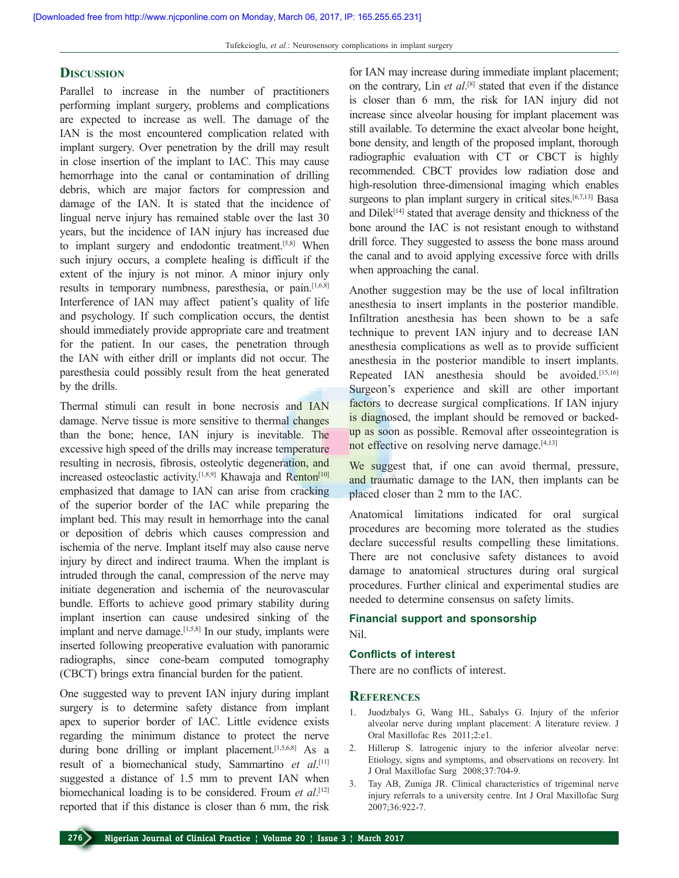#### **Discussion**

Parallel to increase in the number of practitioners performing implant surgery, problems and complications are expected to increase as well. The damage of the IAN is the most encountered complication related with implant surgery. Over penetration by the drill may result in close insertion of the implant to IAC. This may cause hemorrhage into the canal or contamination of drilling debris, which are major factors for compression and damage of the IAN. It is stated that the incidence of lingual nerve injury has remained stable over the last 30 years, but the incidence of IAN injury has increased due to implant surgery and endodontic treatment.<sup>[5,8]</sup> When such injury occurs, a complete healing is difficult if the extent of the injury is not minor. A minor injury only results in temporary numbness, paresthesia, or pain.[1,6,8] Interference of IAN may affect patient's quality of life and psychology. If such complication occurs, the dentist should immediately provide appropriate care and treatment for the patient. In our cases, the penetration through the IAN with either drill or implants did not occur. The paresthesia could possibly result from the heat generated by the drills.

Thermal stimuli can result in bone necrosis and IAN damage. Nerve tissue is more sensitive to thermal changes than the bone; hence, IAN injury is inevitable. The excessive high speed of the drills may increase temperature resulting in necrosis, fibrosis, osteolytic degeneration, and increased osteoclastic activity.<sup>[1,8,9]</sup> Khawaja and Renton<sup>[10]</sup> emphasized that damage to IAN can arise from cracking of the superior border of the IAC while preparing the implant bed. This may result in hemorrhage into the canal or deposition of debris which causes compression and ischemia of the nerve. Implant itself may also cause nerve injury by direct and indirect trauma. When the implant is intruded through the canal, compression of the nerve may initiate degeneration and ischemia of the neurovascular bundle. Efforts to achieve good primary stability during implant insertion can cause undesired sinking of the implant and nerve damage.<sup>[1,5,8]</sup> In our study, implants were inserted following preoperative evaluation with panoramic radiographs, since cone-beam computed tomography (CBCT) brings extra financial burden for the patient.

One suggested way to prevent IAN injury during implant surgery is to determine safety distance from implant apex to superior border of IAC. Little evidence exists regarding the minimum distance to protect the nerve during bone drilling or implant placement.<sup>[1,5,6,8]</sup> As a result of a biomechanical study, Sammartino *et al*. [11] suggested a distance of 1.5 mm to prevent IAN when biomechanical loading is to be considered. Froum *et al*. [12] reported that if this distance is closer than 6 mm, the risk

for IAN may increase during immediate implant placement; on the contrary, Lin *et al*.<sup>[8]</sup> stated that even if the distance is closer than 6 mm, the risk for IAN injury did not increase since alveolar housing for implant placement was still available. To determine the exact alveolar bone height, bone density, and length of the proposed implant, thorough radiographic evaluation with CT or CBCT is highly recommended. CBCT provides low radiation dose and high-resolution three-dimensional imaging which enables surgeons to plan implant surgery in critical sites.<sup>[6,7,13]</sup> Basa and Dilek<sup>[14]</sup> stated that average density and thickness of the bone around the IAC is not resistant enough to withstand drill force. They suggested to assess the bone mass around the canal and to avoid applying excessive force with drills when approaching the canal.

Another suggestion may be the use of local infiltration anesthesia to insert implants in the posterior mandible. Infiltration anesthesia has been shown to be a safe technique to prevent IAN injury and to decrease IAN anesthesia complications as well as to provide sufficient anesthesia in the posterior mandible to insert implants. Repeated IAN anesthesia should be avoided.[15,16] Surgeon's experience and skill are other important factors to decrease surgical complications. If IAN injury is diagnosed, the implant should be removed or backedup as soon as possible. Removal after osseointegration is not effective on resolving nerve damage.<sup>[4,13]</sup>

We suggest that, if one can avoid thermal, pressure, and traumatic damage to the IAN, then implants can be placed closer than 2 mm to the IAC.

Anatomical limitations indicated for oral surgical procedures are becoming more tolerated as the studies declare successful results compelling these limitations. There are not conclusive safety distances to avoid damage to anatomical structures during oral surgical procedures. Further clinical and experimental studies are needed to determine consensus on safety limits.

# **Financial support and sponsorship**

# Nil.

## **Conflicts of interest**

There are no conflicts of interest.

### **References**

- 1. Juodzbalys G, Wang HL, Sabalys G. Injury of the ınferior alveolar nerve during ımplant placement: A literature review. J Oral Maxillofac Res 2011;2:e1.
- 2. Hillerup S. Iatrogenic injury to the inferior alveolar nerve: Etiology, signs and symptoms, and observations on recovery. Int J Oral Maxillofac Surg 2008;37:704-9.
- 3. Tay AB, Zuniga JR. Clinical characteristics of trigeminal nerve injury referrals to a university centre. Int J Oral Maxillofac Surg 2007;36:922-7.